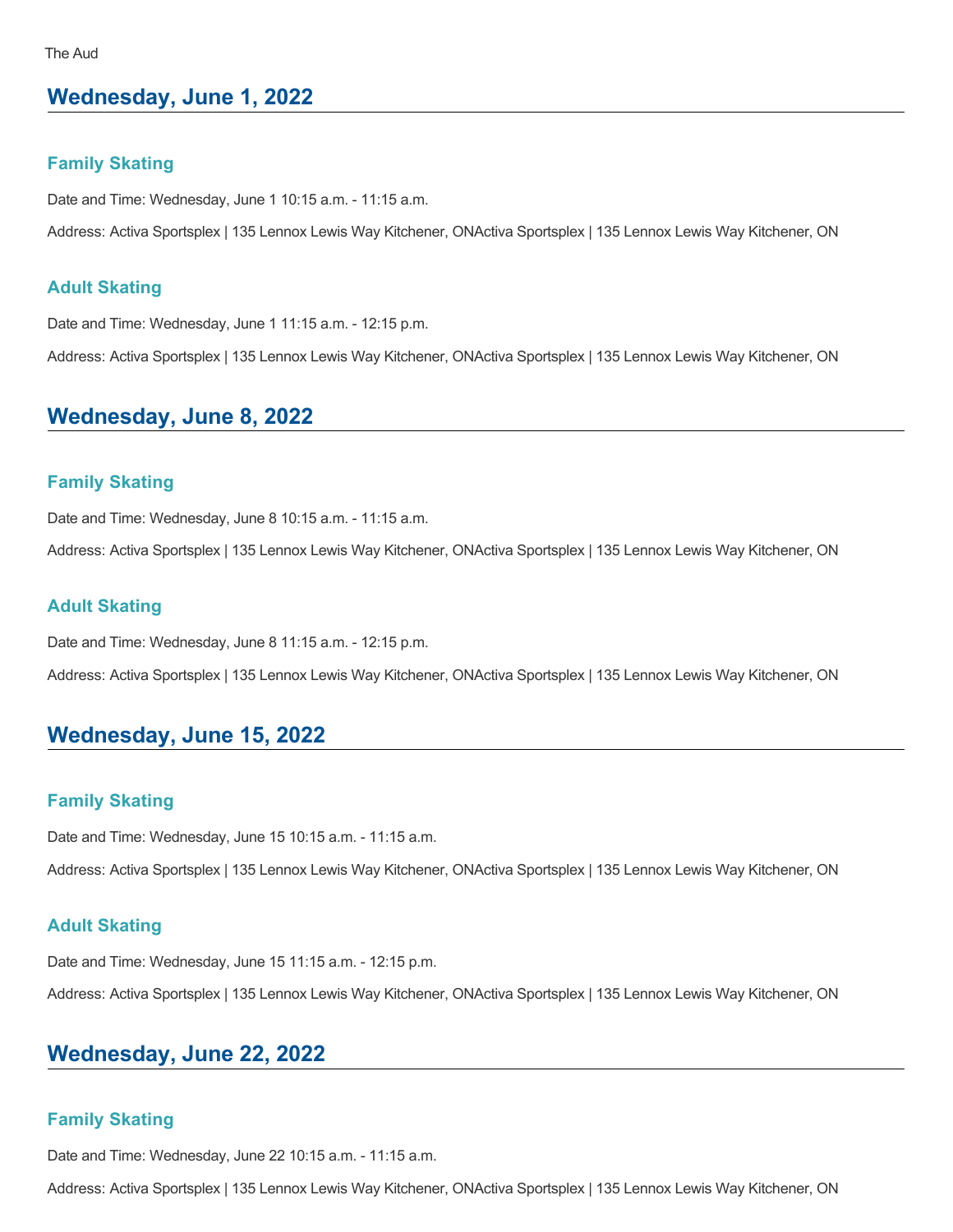# **Wednesday, June 1, 2022**

#### **Family Skating**

Date and Time: Wednesday, June 1 10:15 a.m. - 11:15 a.m.

Address: Activa Sportsplex | 135 Lennox Lewis Way Kitchener, ONActiva Sportsplex | 135 Lennox Lewis Way Kitchener, ON

#### **Adult Skating**

Date and Time: Wednesday, June 1 11:15 a.m. - 12:15 p.m.

Address: Activa Sportsplex | 135 Lennox Lewis Way Kitchener, ONActiva Sportsplex | 135 Lennox Lewis Way Kitchener, ON

# **Wednesday, June 8, 2022**

### **Family Skating**

Date and Time: Wednesday, June 8 10:15 a.m. - 11:15 a.m.

Address: Activa Sportsplex | 135 Lennox Lewis Way Kitchener, ONActiva Sportsplex | 135 Lennox Lewis Way Kitchener, ON

### **Adult Skating**

Date and Time: Wednesday, June 8 11:15 a.m. - 12:15 p.m.

Address: Activa Sportsplex | 135 Lennox Lewis Way Kitchener, ONActiva Sportsplex | 135 Lennox Lewis Way Kitchener, ON

## **Wednesday, June 15, 2022**

#### **Family Skating**

Date and Time: Wednesday, June 15 10:15 a.m. - 11:15 a.m.

Address: Activa Sportsplex | 135 Lennox Lewis Way Kitchener, ONActiva Sportsplex | 135 Lennox Lewis Way Kitchener, ON

### **Adult Skating**

Date and Time: Wednesday, June 15 11:15 a.m. - 12:15 p.m.

Address: Activa Sportsplex | 135 Lennox Lewis Way Kitchener, ONActiva Sportsplex | 135 Lennox Lewis Way Kitchener, ON

## **Wednesday, June 22, 2022**

#### **Family Skating**

Date and Time: Wednesday, June 22 10:15 a.m. - 11:15 a.m.

Address: Activa Sportsplex | 135 Lennox Lewis Way Kitchener, ONActiva Sportsplex | 135 Lennox Lewis Way Kitchener, ON